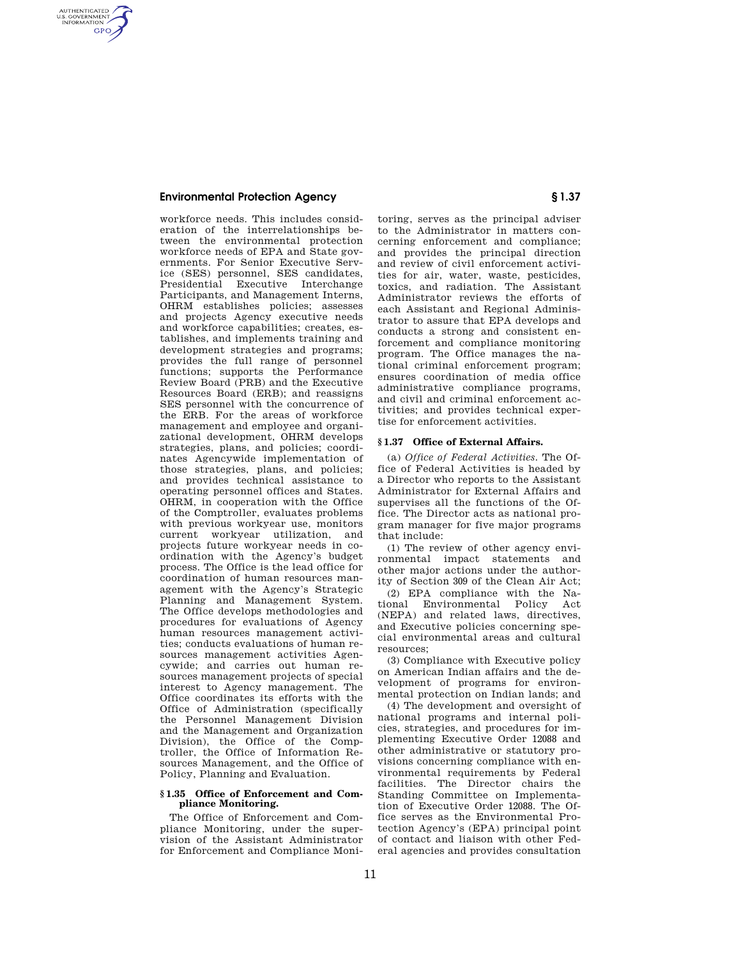## **Environmental Protection Agency § 1.37**

AUTHENTICATED<br>U.S. GOVERNMENT<br>INFORMATION **GPO** 

> workforce needs. This includes consideration of the interrelationships between the environmental protection workforce needs of EPA and State governments. For Senior Executive Service (SES) personnel, SES candidates, Presidential Executive Interchange Participants, and Management Interns, OHRM establishes policies; assesses and projects Agency executive needs and workforce capabilities; creates, establishes, and implements training and development strategies and programs; provides the full range of personnel functions; supports the Performance Review Board (PRB) and the Executive Resources Board (ERB); and reassigns SES personnel with the concurrence of the ERB. For the areas of workforce management and employee and organizational development, OHRM develops strategies, plans, and policies; coordinates Agencywide implementation of those strategies, plans, and policies; and provides technical assistance to operating personnel offices and States. OHRM, in cooperation with the Office of the Comptroller, evaluates problems with previous workyear use, monitors current workyear utilization, and projects future workyear needs in coordination with the Agency's budget process. The Office is the lead office for coordination of human resources management with the Agency's Strategic Planning and Management System. The Office develops methodologies and procedures for evaluations of Agency human resources management activities; conducts evaluations of human resources management activities Agencywide; and carries out human resources management projects of special interest to Agency management. The Office coordinates its efforts with the Office of Administration (specifically the Personnel Management Division and the Management and Organization Division), the Office of the Comptroller, the Office of Information Resources Management, and the Office of Policy, Planning and Evaluation.

### **§ 1.35 Office of Enforcement and Compliance Monitoring.**

The Office of Enforcement and Compliance Monitoring, under the supervision of the Assistant Administrator for Enforcement and Compliance Moni-

toring, serves as the principal adviser to the Administrator in matters concerning enforcement and compliance; and provides the principal direction and review of civil enforcement activities for air, water, waste, pesticides, toxics, and radiation. The Assistant Administrator reviews the efforts of each Assistant and Regional Administrator to assure that EPA develops and conducts a strong and consistent enforcement and compliance monitoring program. The Office manages the national criminal enforcement program; ensures coordination of media office administrative compliance programs, and civil and criminal enforcement activities; and provides technical expertise for enforcement activities.

#### **§ 1.37 Office of External Affairs.**

(a) *Office of Federal Activities.* The Office of Federal Activities is headed by a Director who reports to the Assistant Administrator for External Affairs and supervises all the functions of the Office. The Director acts as national program manager for five major programs that include:

(1) The review of other agency environmental impact statements and other major actions under the authority of Section 309 of the Clean Air Act;

(2) EPA compliance with the National Environmental Policy Act (NEPA) and related laws, directives, and Executive policies concerning special environmental areas and cultural resources;

(3) Compliance with Executive policy on American Indian affairs and the development of programs for environmental protection on Indian lands; and

(4) The development and oversight of national programs and internal policies, strategies, and procedures for implementing Executive Order 12088 and other administrative or statutory provisions concerning compliance with environmental requirements by Federal facilities. The Director chairs the Standing Committee on Implementation of Executive Order 12088. The Office serves as the Environmental Protection Agency's (EPA) principal point of contact and liaison with other Federal agencies and provides consultation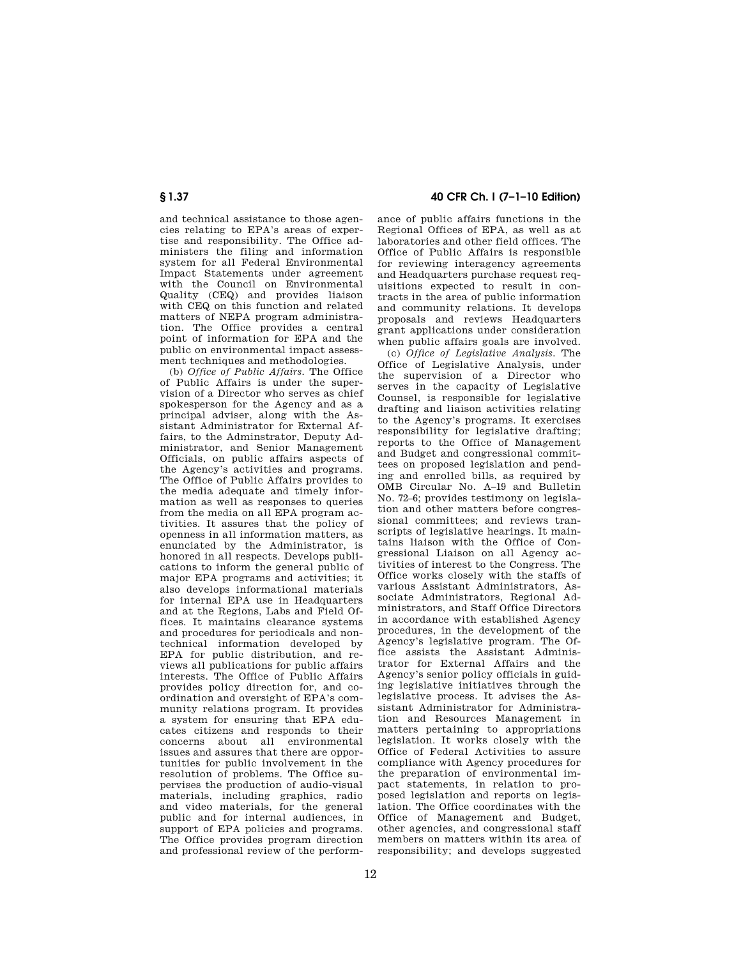and technical assistance to those agencies relating to EPA's areas of expertise and responsibility. The Office administers the filing and information system for all Federal Environmental Impact Statements under agreement with the Council on Environmental Quality (CEQ) and provides liaison with CEQ on this function and related matters of NEPA program administration. The Office provides a central point of information for EPA and the public on environmental impact assessment techniques and methodologies.

(b) *Office of Public Affairs.* The Office of Public Affairs is under the supervision of a Director who serves as chief spokesperson for the Agency and as a principal adviser, along with the Assistant Administrator for External Affairs, to the Adminstrator, Deputy Administrator, and Senior Management Officials, on public affairs aspects of the Agency's activities and programs. The Office of Public Affairs provides to the media adequate and timely information as well as responses to queries from the media on all EPA program activities. It assures that the policy of openness in all information matters, as enunciated by the Administrator, is honored in all respects. Develops publications to inform the general public of major EPA programs and activities; it also develops informational materials for internal EPA use in Headquarters and at the Regions, Labs and Field Offices. It maintains clearance systems and procedures for periodicals and nontechnical information developed by EPA for public distribution, and reviews all publications for public affairs interests. The Office of Public Affairs provides policy direction for, and coordination and oversight of EPA's community relations program. It provides a system for ensuring that EPA educates citizens and responds to their concerns about all environmental issues and assures that there are opportunities for public involvement in the resolution of problems. The Office supervises the production of audio-visual materials, including graphics, radio and video materials, for the general public and for internal audiences, in support of EPA policies and programs. The Office provides program direction and professional review of the perform-

# **§ 1.37 40 CFR Ch. I (7–1–10 Edition)**

ance of public affairs functions in the Regional Offices of EPA, as well as at laboratories and other field offices. The Office of Public Affairs is responsible for reviewing interagency agreements and Headquarters purchase request requisitions expected to result in contracts in the area of public information and community relations. It develops proposals and reviews Headquarters grant applications under consideration when public affairs goals are involved.

(c) *Office of Legislative Analysis.* The Office of Legislative Analysis, under the supervision of a Director who serves in the capacity of Legislative Counsel, is responsible for legislative drafting and liaison activities relating to the Agency's programs. It exercises responsibility for legislative drafting; reports to the Office of Management and Budget and congressional committees on proposed legislation and pending and enrolled bills, as required by OMB Circular No. A–19 and Bulletin No. 72–6; provides testimony on legislation and other matters before congressional committees; and reviews transcripts of legislative hearings. It maintains liaison with the Office of Congressional Liaison on all Agency activities of interest to the Congress. The Office works closely with the staffs of various Assistant Administrators, Associate Administrators, Regional Administrators, and Staff Office Directors in accordance with established Agency procedures, in the development of the Agency's legislative program. The Office assists the Assistant Administrator for External Affairs and the Agency's senior policy officials in guiding legislative initiatives through the legislative process. It advises the Assistant Administrator for Administration and Resources Management in matters pertaining to appropriations legislation. It works closely with the Office of Federal Activities to assure compliance with Agency procedures for the preparation of environmental impact statements, in relation to proposed legislation and reports on legislation. The Office coordinates with the Office of Management and Budget, other agencies, and congressional staff members on matters within its area of responsibility; and develops suggested